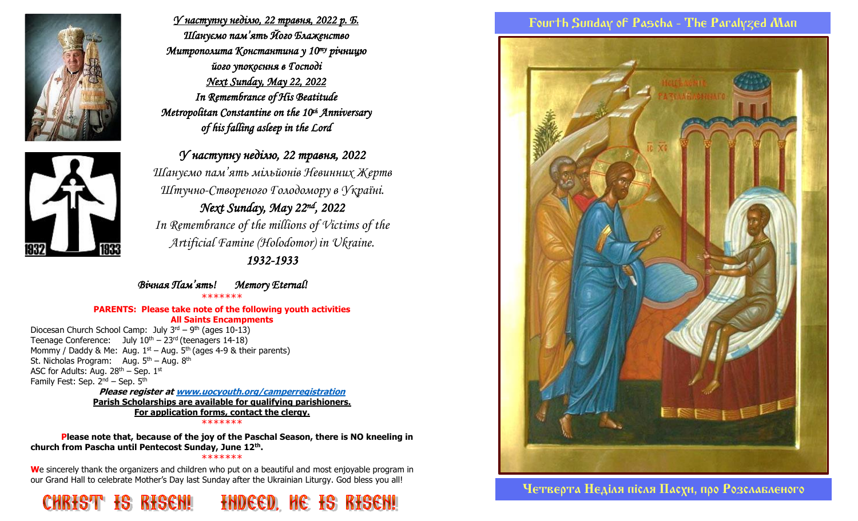

*У наступну неділю, 22 травня, 2022 р. Б. Шануємо пам'ять Його Блаженство Митрополита Константина у 10ту річницю його упокоєння в Господі Next Sunday, May 22, 2022 In Remembrance of His Beatitude Metropolitan Constantine on the 10th Anniversary of his falling asleep in the Lord* 



*1932-1933* 

*Вічная Пам'ять! Memory Eternal!*  \*\*\*\*\*\*\*

#### **PARENTS: Please take note of the following youth activities All Saints Encampments**

Diocesan Church School Camp: July 3<sup>rd</sup> – 9<sup>th</sup> (ages 10-13) Teenage Conference: July  $10^{th} - 23^{rd}$  (teenagers 14-18) Mommy / Daddy & Me: Aug.  $1<sup>st</sup>$  – Aug.  $5<sup>th</sup>$  (ages 4-9 & their parents) St. Nicholas Program: Aug.  $5<sup>th</sup>$  – Aug.  $8<sup>th</sup>$ ASC for Adults: Aug.  $28<sup>th</sup>$  – Sep.  $1<sup>st</sup>$ Family Fest: Sep.  $2^{nd}$  – Sep.  $5^{th}$ 

**Please register a[t www.uocyouth.org/camperregistration](http://www.uocyouth.org/camperregistration) Parish Scholarships are available for qualifying parishioners. For application forms, contact the clergy.** \*\*\*\*\*\*\*

**Please note that, because of the joy of the Paschal Season, there is NO kneeling in church from Pascha until Pentecost Sunday, June 12th .**

#### \*\*\*\*\*\*\*

**W**e sincerely thank the organizers and children who put on a beautiful and most enjoyable program in our Grand Hall to celebrate Mother's Day last Sunday after the Ukrainian Liturgy. God bless you all!



## Fourth Sunday of Pascha - The Paralyzed Man



Четверта Недiля пiсля Пасхи, про Розслабленого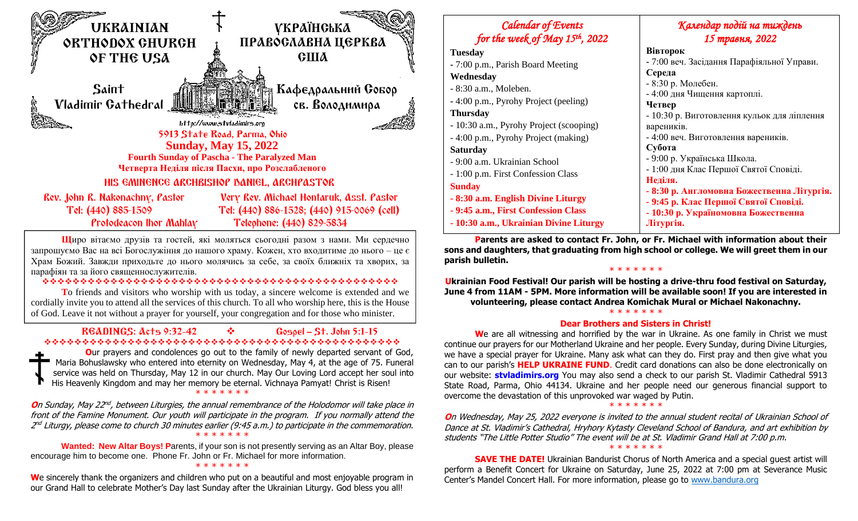

**Щ**иро вітаємо друзів та гостей, які моляться сьогодні разом з нами. Ми сердечно запрошуємо Вас на всі Богослужіння до нашого храму. Кожен, хто входитиме до нього – це є Храм Божий. Завжди приходьте до нього молячись за себе, за своїх ближніх та хворих, за парафіян та за його священнослужителів.

#### ❖❖❖❖❖❖❖❖❖❖❖❖❖❖❖❖❖❖❖❖❖❖❖❖❖❖❖❖❖❖❖❖❖❖❖❖❖❖❖❖❖❖❖❖❖❖❖

**T**o friends and visitors who worship with us today, a sincere welcome is extended and we cordially invite you to attend all the services of this church. To all who worship here, this is the House of God. Leave it not without a prayer for yourself, your congregation and for those who minister.

#### READINGS: Acts 9:32-42 ❖ Gospel – St. John 5:1-15 ❖❖❖❖❖❖❖❖❖❖❖❖❖❖❖❖❖❖❖❖❖❖❖❖❖❖❖❖❖❖❖❖❖❖❖❖❖❖❖❖❖❖❖❖❖❖❖

**O**ur prayers and condolences go out to the family of newly departed servant of God, Maria Bohuslawsky who entered into eternity on Wednesday, May 4, at the age of 75. Funeral service was held on Thursday, May 12 in our church. May Our Loving Lord accept her soul into His Heavenly Kingdom and may her memory be eternal. Vichnaya Pamyat! Christ is Risen!

#### \* \* \* \* \* \* \*

**O**n Sunday, May 22<sup>nd</sup>, between Liturgies, the annual remembrance of the Holodomor will take place in front of the Famine Monument. Our youth will participate in the program. If you normally attend the 2<sup>nd</sup> Liturgy, please come to church 30 minutes earlier (9:45 a.m.) to participate in the commemoration. \* \* \* \* \* \* \*

**Wanted: New Altar Boys! P**arents, if your son is not presently serving as an Altar Boy, please encourage him to become one. Phone Fr. John or Fr. Michael for more information.

#### \* \* \* \* \* \* \*

We sincerely thank the organizers and children who put on a beautiful and most enjoyable program in our Grand Hall to celebrate Mother's Day last Sunday after the Ukrainian Liturgy. God bless you all!



**Parents are asked to contact Fr. John, or Fr. Michael with information about their sons and daughters, that graduating from high school or college. We will greet them in our parish bulletin.**

#### \* \* \* \* \* \* \*

**Ukrainian Food Festival! Our parish will be hosting a drive-thru food festival on Saturday, June 4 from 11AM - 5PM. More information will be available soon! If you are interested in volunteering, please contact Andrea Komichak Mural or Michael Nakonachny.**

#### \* \* \* \* \* \* \*

#### **Dear Brothers and Sisters in Christ!**

**W**e are all witnessing and horrified by the war in Ukraine. As one family in Christ we must continue our prayers for our Motherland Ukraine and her people. Every Sunday, during Divine Liturgies, we have a special prayer for Ukraine. Many ask what can they do. First pray and then give what you can to our parish's **HELP UKRAINE FUND**. Credit card donations can also be done electronically on our website: **stvladimirs.org** You may also send a check to our parish St. Vladimir Cathedral 5913 State Road, Parma, Ohio 44134. Ukraine and her people need our generous financial support to overcome the devastation of this unprovoked war waged by Putin.

#### \* \* \* \* \* \* \*

**O**n Wednesday, May 25, 2022 everyone is invited to the annual student recital of Ukrainian School of Dance at St. Vladimir's Cathedral, Hryhory Kytasty Cleveland School of Bandura, and art exhibition by students "The Little Potter Studio" The event will be at St. Vladimir Grand Hall at 7:00 p.m. \* \* \* \* \* \* \*

**SAVE THE DATE!** Ukrainian Bandurist Chorus of North America and a special guest artist will perform a Benefit Concert for Ukraine on Saturday, June 25, 2022 at 7:00 pm at Severance Music Center's Mandel Concert Hall. For more information, please go to [www.bandura.org](http://www.bandura.org/)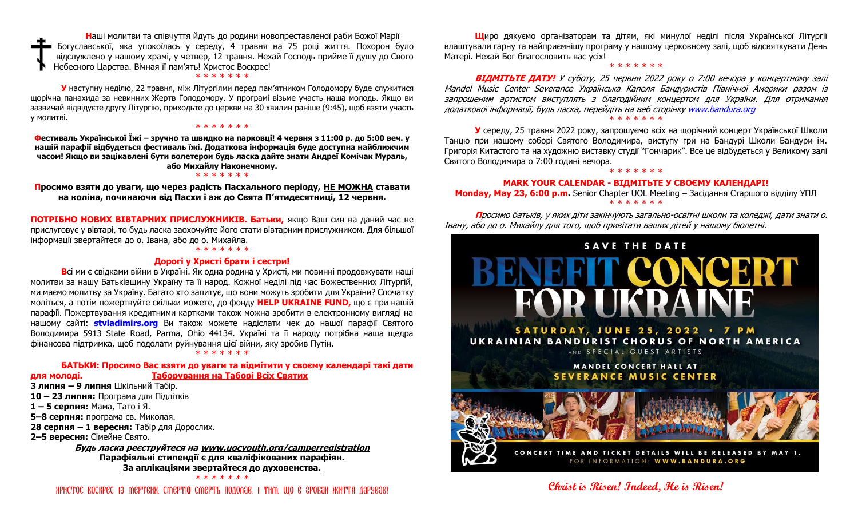**Н**аші молитви та співчуття йдуть до родини новопреставленої раби Божої Марії Богуславської, яка упокоїлась у середу, 4 травня на 75 році життя. Похорон було відслужлено у нашому храмі, у четвер, 12 травня. Нехай Господь прийме її душу до Свого Небесного Царства. Вічная її пам'ять! Христос Воскрес!

#### \* \* \* \* \* \* \*

**У** наступну неділю, 22 травня, між Літургіями перед пам'ятником Голодомору буде служитися щорічна панахида за невинних Жертв Голодомору. У програмі візьме участь наша молодь. Якщо ви зазвичай відвідуєте другу Літургію, приходьте до церкви на 30 хвилин раніше (9:45), щоб взяти участь у молитві.

#### \* \* \* \* \* \* \*

**Фестиваль Української Їжі – зручно та швидко на парковці! 4 червня з 11:00 р. до 5:00 веч. у нашій парафії відбудеться фестиваль їжі. Додаткова інформація буде доступна найближчим часом! Якщо ви зацікавлені бути волетерои будь ласка дайте знати Андреї Комічак Мураль, або Михайлу Наконечному.**

#### \* \* \* \* \* \* \*

**Просимо взяти до уваги, що через радість Пасхального періоду, НЕ МОЖНА ставати на коліна, починаючи від Пасхи і аж до Свята П'ятидесятниці, 12 червня.**

**ПОТРІБНО НОВИХ ВІВТАРНИХ ПРИСЛУЖНИКІВ. Батьки,** якщо Ваш син на даний час не прислуговує у вівтарі, то будь ласка заохочуйте його стати вівтарним прислужником. Для більшої інформації звертайтеся до о. Івана, або до о. Михайла.

#### \* \* \* \* \* \*

#### **Дорогі у Христі брати і сестри!**

**В**сі ми є свідками війни в Україні. Як одна родина у Христі, ми повинні продовжувати наші молитви за нашу Батьківщину Україну та її народ. Кожної неділі під час Божественних Літургій, ми маємо молитву за Україну. Багато хто запитує, що вони можуть зробити для України? Спочатку моліться, а потім пожертвуйте скільки можете, до фонду **HELP UKRAINE FUND,** що є при нашій парафії. Пожертвування кредитними картками також можна зробити в електронному вигляді на нашому сайті: **stvladimirs.org** Ви також можете надіслати чек до нашої парафії Святого Володимира 5913 State Road, Parma, Ohio 44134. Україні та її народу потрібна наша щедра фінансова підтримка, щоб подолати руйнування цієї війни, яку зробив Путін.

\* \* \* \* \* \* \*

### **БАТЬКИ: Просимо Вас взяти до уваги та відмітити у своєму календарі такі дати**

**для молоді. Таборування на Таборі Всіх Святих**

 **липня – 9 липня** Шкільний Табір. **– 23 липня:** Програма для Підлітків **– 5 серпня:** Мама, Тато і Я. **–8 серпня:** програма св. Миколая. **28 серпня – 1 вересня:** Табір для Дорослих. **–5 вересня:** Сімейне Свято.

**Будь ласка реєструйтеся на [www.uocyouth.org/camperregistration](http://www.uocyouth.org/camperregistration) Парафіяльні стипендії є для кваліфікованих парафіян. За аплікаціями звертайтеся до духовенства.** \* \* \* \* \* \* \*

Христос Воскрес Iз мертвих, смертю смерть подолав, I тим, що в гробах життя дарував!

**Щ**иро дякуємо організаторам та дітям, які минулої неділі після Української Літургії влаштували гарну та найприємнішу програму у нашому церковному залі, щоб відсвяткувати День Матері. Нехай Бог благословить вас усіх!

\* \* \* \* \* \*

**ВІДМІТЬТЕ ДАТУ!** У суботу, 25 червня 2022 року о 7:00 вечора у концертному залі Mandel Music Center Severance Українська Капеля Бандуристів Північної Америки разом із запрошеним артистом виступлять з благодійним концертом для України. Для отримання додаткової інформації, будь ласка, перейдіть на веб сторінку www.bandura.org \* \* \* \* \* \* \*

**У** середу, 25 травня 2022 року, запрошуємо всіх на щорічний концерт Української Школи Танцю при нашому соборі Святого Володимира, виступу гри на Бандурі Школи Бандури ім. Григорія Китастого та на художню виставку студії "Гончарик". Все це відбудеться у Великому залі Святого Володимира о 7:00 годині вечора. \* \* \* \* \* \* \*

#### **MARK YOUR CALENDAR - ВІДМІТЬТЕ У СВОЄМУ КАЛЕНДАРІ!**

#### **Monday, May 23, 6:00 p.m.** Senior Chapter UOL Meeting – Засідання Старшого відділу УПЛ \* \* \* \* \* \* \*

**П**росимо батьків, у яких діти закінчують загально-освітні школи та коледжі, дати знати о. Івану, або до о. Михайлу для того, щоб привітати ваших дітей у нашому бюлетні.



**Christ is Risen! Indeed, He is Risen!**